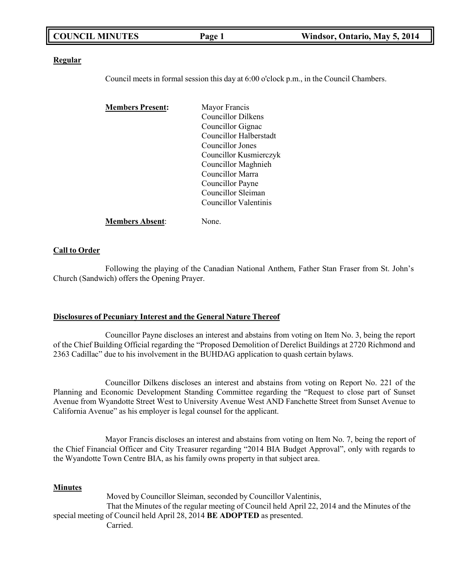| <b>COUNCIL MINUTES</b> | Page 1 | Windsor, Ontario, May 5, 2014 |
|------------------------|--------|-------------------------------|
|                        |        |                               |

#### **Regular**

Council meets in formal session this day at 6:00 o'clock p.m., in the Council Chambers.

| <b>Members Present:</b> | Mayor Francis             |
|-------------------------|---------------------------|
|                         | <b>Councillor Dilkens</b> |
|                         | Councillor Gignac         |
|                         | Councillor Halberstadt    |
|                         | Councillor Jones          |
|                         | Councillor Kusmierczyk    |
|                         | Councillor Maghnieh       |
|                         | Councillor Marra          |
|                         | Councillor Payne          |
|                         | Councillor Sleiman        |
|                         | Councillor Valentinis     |
| <b>Members Absent:</b>  | None.                     |

#### **Call to Order**

Following the playing of the Canadian National Anthem, Father Stan Fraser from St. John's Church (Sandwich) offers the Opening Prayer.

#### **Disclosures of Pecuniary Interest and the General Nature Thereof**

Councillor Payne discloses an interest and abstains from voting on Item No. 3, being the report of the Chief Building Official regarding the "Proposed Demolition of Derelict Buildings at 2720 Richmond and 2363 Cadillac" due to his involvement in the BUHDAG application to quash certain bylaws.

Councillor Dilkens discloses an interest and abstains from voting on Report No. 221 of the Planning and Economic Development Standing Committee regarding the "Request to close part of Sunset Avenue from Wyandotte Street West to University Avenue West AND Fanchette Street from Sunset Avenue to California Avenue" as his employer is legal counsel for the applicant.

Mayor Francis discloses an interest and abstains from voting on Item No. 7, being the report of the Chief Financial Officer and City Treasurer regarding "2014 BIA Budget Approval", only with regards to the Wyandotte Town Centre BIA, as his family owns property in that subject area.

#### **Minutes**

Moved by Councillor Sleiman, seconded by Councillor Valentinis, That the Minutes of the regular meeting of Council held April 22, 2014 and the Minutes of the special meeting of Council held April 28, 2014 **BE ADOPTED** as presented. Carried.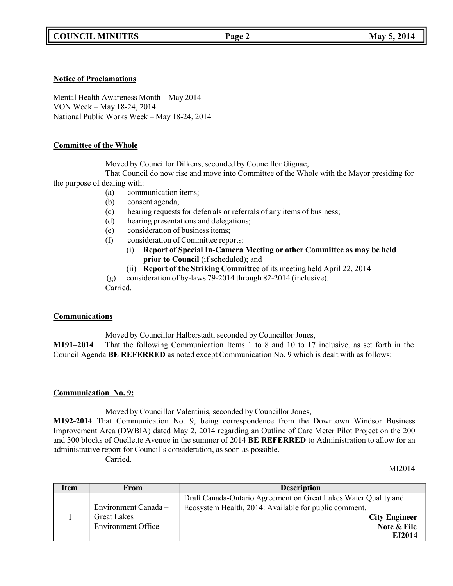### **Notice of Proclamations**

Mental Health Awareness Month – May 2014 VON Week – May 18-24, 2014 National Public Works Week – May 18-24, 2014

### **Committee of the Whole**

Moved by Councillor Dilkens, seconded by Councillor Gignac,

That Council do now rise and move into Committee of the Whole with the Mayor presiding for the purpose of dealing with:

- (a) communication items;
- (b) consent agenda;
- (c) hearing requests for deferrals or referrals of any items of business;
- (d) hearing presentations and delegations;
- (e) consideration of business items;
- (f) consideration of Committee reports:
	- (i) **Report of Special In-Camera Meeting or other Committee as may be held prior to Council** (if scheduled); and
	- (ii) **Report of the Striking Committee** of its meeting held April 22, 2014

(g) consideration of by-laws 79-2014 through 82-2014 (inclusive).

Carried.

### **Communications**

Moved by Councillor Halberstadt, seconded by Councillor Jones,

**M191–2014** That the following Communication Items 1 to 8 and 10 to 17 inclusive, as set forth in the Council Agenda **BE REFERRED** as noted except Communication No. 9 which is dealt with as follows:

# **Communication No. 9:**

Moved by Councillor Valentinis, seconded by Councillor Jones,

**M192-2014** That Communication No. 9, being correspondence from the Downtown Windsor Business Improvement Area (DWBIA) dated May 2, 2014 regarding an Outline of Care Meter Pilot Project on the 200 and 300 blocks of Ouellette Avenue in the summer of 2014 **BE REFERRED** to Administration to allow for an administrative report for Council's consideration, as soon as possible. Carried.

MI2014

| Item | From                                            | <b>Description</b>                                                                                                       |
|------|-------------------------------------------------|--------------------------------------------------------------------------------------------------------------------------|
|      | Environment Canada -                            | Draft Canada-Ontario Agreement on Great Lakes Water Quality and<br>Ecosystem Health, 2014: Available for public comment. |
|      | <b>Great Lakes</b><br><b>Environment Office</b> | <b>City Engineer</b><br>Note & File<br>EI2014                                                                            |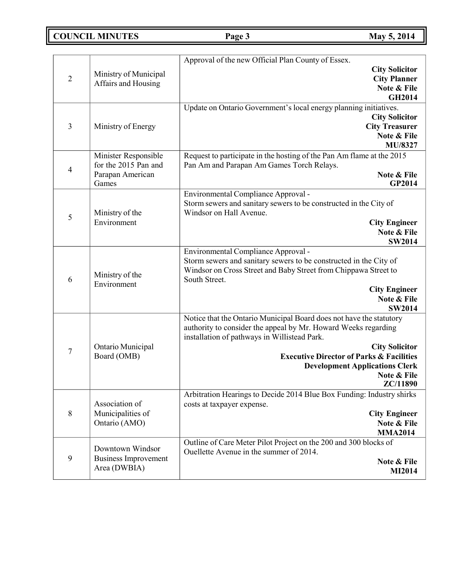**COUNCIL MINUTES Page 3 May 5, 2014**

|                  |                                  | Approval of the new Official Plan County of Essex.                                                          |
|------------------|----------------------------------|-------------------------------------------------------------------------------------------------------------|
|                  |                                  | <b>City Solicitor</b>                                                                                       |
| $\overline{2}$   | Ministry of Municipal            | <b>City Planner</b>                                                                                         |
|                  | Affairs and Housing              | Note & File                                                                                                 |
|                  |                                  | <b>GH2014</b>                                                                                               |
|                  |                                  | Update on Ontario Government's local energy planning initiatives.                                           |
|                  |                                  | <b>City Solicitor</b>                                                                                       |
| 3                | Ministry of Energy               | <b>City Treasurer</b>                                                                                       |
|                  |                                  | Note & File                                                                                                 |
|                  |                                  | MU/8327                                                                                                     |
|                  | Minister Responsible             | Request to participate in the hosting of the Pan Am flame at the 2015                                       |
| 4                | for the 2015 Pan and             | Pan Am and Parapan Am Games Torch Relays.                                                                   |
|                  | Parapan American                 | Note & File                                                                                                 |
|                  | Games                            | GP2014                                                                                                      |
|                  |                                  | Environmental Compliance Approval -                                                                         |
|                  |                                  | Storm sewers and sanitary sewers to be constructed in the City of                                           |
| 5                | Ministry of the                  | Windsor on Hall Avenue.                                                                                     |
|                  | Environment                      | <b>City Engineer</b>                                                                                        |
|                  |                                  | Note & File                                                                                                 |
|                  |                                  | <b>SW2014</b><br>Environmental Compliance Approval -                                                        |
|                  |                                  | Storm sewers and sanitary sewers to be constructed in the City of                                           |
|                  |                                  | Windsor on Cross Street and Baby Street from Chippawa Street to                                             |
| 6                | Ministry of the                  | South Street.                                                                                               |
|                  | Environment                      | <b>City Engineer</b>                                                                                        |
|                  |                                  | Note & File                                                                                                 |
|                  |                                  | <b>SW2014</b>                                                                                               |
|                  |                                  | Notice that the Ontario Municipal Board does not have the statutory                                         |
|                  |                                  | authority to consider the appeal by Mr. Howard Weeks regarding                                              |
|                  |                                  | installation of pathways in Willistead Park.                                                                |
| $\boldsymbol{7}$ | Ontario Municipal<br>Board (OMB) | <b>City Solicitor</b>                                                                                       |
|                  |                                  | <b>Executive Director of Parks &amp; Facilities</b>                                                         |
|                  |                                  | <b>Development Applications Clerk</b>                                                                       |
|                  |                                  | Note & File                                                                                                 |
|                  |                                  | <b>ZC/11890</b>                                                                                             |
|                  |                                  | Arbitration Hearings to Decide 2014 Blue Box Funding: Industry shirks                                       |
|                  | Association of                   | costs at taxpayer expense.                                                                                  |
| $8\,$            | Municipalities of                | <b>City Engineer</b>                                                                                        |
|                  | Ontario (AMO)                    | Note & File                                                                                                 |
|                  |                                  | <b>MMA2014</b>                                                                                              |
|                  | Downtown Windsor                 | Outline of Care Meter Pilot Project on the 200 and 300 blocks of<br>Ouellette Avenue in the summer of 2014. |
| 9                | <b>Business Improvement</b>      | Note & File                                                                                                 |
|                  | Area (DWBIA)                     | <b>MI2014</b>                                                                                               |
|                  |                                  |                                                                                                             |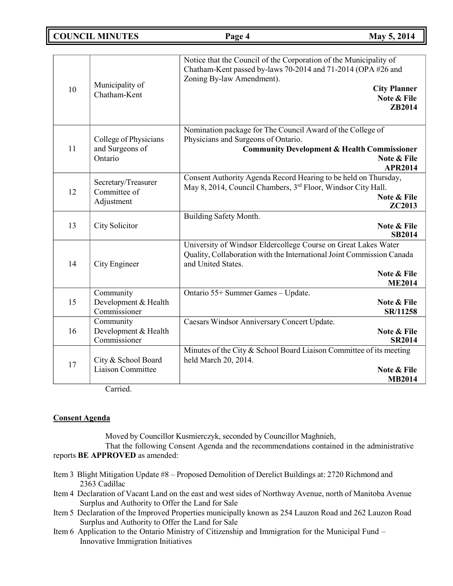**COUNCIL MINUTES Page 4 May 5, 2014**

| 10 | Municipality of<br>Chatham-Kent                     | Notice that the Council of the Corporation of the Municipality of<br>Chatham-Kent passed by-laws 70-2014 and 71-2014 (OPA #26 and<br>Zoning By-law Amendment).<br><b>City Planner</b><br>Note & File<br>ZB2014 |
|----|-----------------------------------------------------|----------------------------------------------------------------------------------------------------------------------------------------------------------------------------------------------------------------|
| 11 | College of Physicians<br>and Surgeons of<br>Ontario | Nomination package for The Council Award of the College of<br>Physicians and Surgeons of Ontario.<br><b>Community Development &amp; Health Commissioner</b><br>Note & File<br><b>APR2014</b>                   |
| 12 | Secretary/Treasurer<br>Committee of<br>Adjustment   | Consent Authority Agenda Record Hearing to be held on Thursday,<br>May 8, 2014, Council Chambers, 3rd Floor, Windsor City Hall.<br>Note & File<br><b>ZC2013</b>                                                |
| 13 | City Solicitor                                      | Building Safety Month.<br>Note & File<br><b>SB2014</b>                                                                                                                                                         |
| 14 | City Engineer                                       | University of Windsor Eldercollege Course on Great Lakes Water<br>Quality, Collaboration with the International Joint Commission Canada<br>and United States.<br>Note & File<br><b>ME2014</b>                  |
| 15 | Community<br>Development & Health<br>Commissioner   | Ontario 55+ Summer Games - Update.<br>Note & File<br>SR/11258                                                                                                                                                  |
| 16 | Community<br>Development & Health<br>Commissioner   | Caesars Windsor Anniversary Concert Update.<br>Note & File<br><b>SR2014</b>                                                                                                                                    |
| 17 | City & School Board<br>Liaison Committee            | Minutes of the City & School Board Liaison Committee of its meeting<br>held March 20, 2014.<br>Note & File<br><b>MB2014</b>                                                                                    |

Carried.

# **Consent Agenda**

Moved by Councillor Kusmierczyk, seconded by Councillor Maghnieh,

That the following Consent Agenda and the recommendations contained in the administrative reports **BE APPROVED** as amended:

- Item 3 Blight Mitigation Update #8 Proposed Demolition of Derelict Buildings at: 2720 Richmond and 2363 Cadillac
- Item 4 Declaration of Vacant Land on the east and west sides of Northway Avenue, north of Manitoba Avenue Surplus and Authority to Offer the Land for Sale
- Item 5 Declaration of the Improved Properties municipally known as 254 Lauzon Road and 262 Lauzon Road Surplus and Authority to Offer the Land for Sale
- Item 6 Application to the Ontario Ministry of Citizenship and Immigration for the Municipal Fund Innovative Immigration Initiatives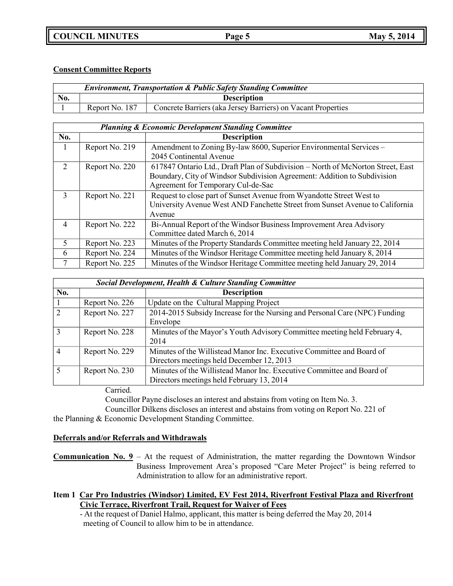# **COUNCIL MINUTES Page 5 May 5, 2014**

# **Consent Committee Reports**

| <b>Environment, Transportation &amp; Public Safety Standing Committee</b> |                |                                                              |
|---------------------------------------------------------------------------|----------------|--------------------------------------------------------------|
| No.                                                                       |                | <b>Description</b>                                           |
|                                                                           | Report No. 187 | Concrete Barriers (aka Jersey Barriers) on Vacant Properties |

|                          | <b>Planning &amp; Economic Development Standing Committee</b> |                                                                                 |  |
|--------------------------|---------------------------------------------------------------|---------------------------------------------------------------------------------|--|
| No.                      |                                                               | <b>Description</b>                                                              |  |
|                          | Report No. 219                                                | Amendment to Zoning By-law 8600, Superior Environmental Services -              |  |
|                          |                                                               | 2045 Continental Avenue                                                         |  |
| 2                        | Report No. 220                                                | 617847 Ontario Ltd., Draft Plan of Subdivision - North of McNorton Street, East |  |
|                          |                                                               | Boundary, City of Windsor Subdivision Agreement: Addition to Subdivision        |  |
|                          |                                                               | Agreement for Temporary Cul-de-Sac                                              |  |
| 3                        | Report No. 221                                                | Request to close part of Sunset Avenue from Wyandotte Street West to            |  |
|                          |                                                               | University Avenue West AND Fanchette Street from Sunset Avenue to California    |  |
|                          |                                                               | Avenue                                                                          |  |
| $\overline{4}$           | Report No. 222                                                | Bi-Annual Report of the Windsor Business Improvement Area Advisory              |  |
|                          |                                                               | Committee dated March 6, 2014                                                   |  |
| $\overline{\mathcal{L}}$ | Report No. 223                                                | Minutes of the Property Standards Committee meeting held January 22, 2014       |  |
| 6                        | Report No. 224                                                | Minutes of the Windsor Heritage Committee meeting held January 8, 2014          |  |
| 7                        | Report No. 225                                                | Minutes of the Windsor Heritage Committee meeting held January 29, 2014         |  |

|                | <b>Social Development, Health &amp; Culture Standing Committee</b> |                                                                                                                    |  |
|----------------|--------------------------------------------------------------------|--------------------------------------------------------------------------------------------------------------------|--|
| No.            |                                                                    | <b>Description</b>                                                                                                 |  |
|                | Report No. 226                                                     | Update on the Cultural Mapping Project                                                                             |  |
| 2              | Report No. 227                                                     | 2014-2015 Subsidy Increase for the Nursing and Personal Care (NPC) Funding<br>Envelope                             |  |
| $\overline{3}$ | Report No. 228                                                     | Minutes of the Mayor's Youth Advisory Committee meeting held February 4,<br>2014                                   |  |
| $\overline{4}$ | Report No. 229                                                     | Minutes of the Willistead Manor Inc. Executive Committee and Board of<br>Directors meetings held December 12, 2013 |  |
| 5              | Report No. 230                                                     | Minutes of the Willistead Manor Inc. Executive Committee and Board of<br>Directors meetings held February 13, 2014 |  |

Carried.

Councillor Payne discloses an interest and abstains from voting on Item No. 3.

Councillor Dilkens discloses an interest and abstains from voting on Report No. 221 of the Planning & Economic Development Standing Committee.

# **Deferrals and/or Referrals and Withdrawals**

**Communication No. 9** – At the request of Administration, the matter regarding the Downtown Windsor Business Improvement Area's proposed "Care Meter Project" is being referred to Administration to allow for an administrative report.

**Item 1 Car Pro Industries (Windsor) Limited, EV Fest 2014, Riverfront Festival Plaza and Riverfront Civic Terrace, Riverfront Trail, Request for Waiver of Fees**

- At the request of Daniel Halmo, applicant, this matter is being deferred the May 20, 2014 meeting of Council to allow him to be in attendance.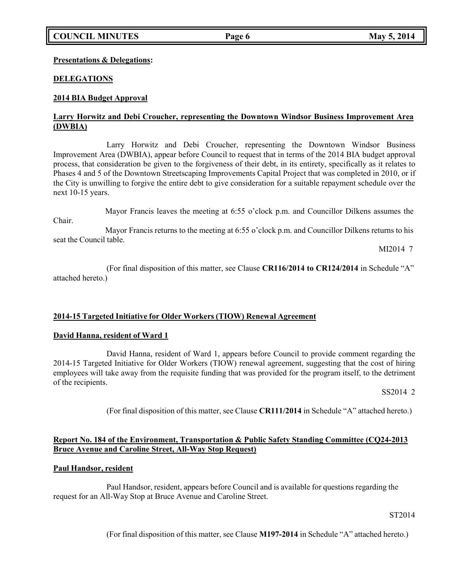### **Presentations & Delegations:**

### **DELEGATIONS**

### **2014 BIA Budget Approval**

### **Larry Horwitz and Debi Croucher, representing the Downtown Windsor Business Improvement Area (DWBIA)**

Larry Horwitz and Debi Croucher, representing the Downtown Windsor Business Improvement Area (DWBIA), appear before Council to request that in terms of the 2014 BIA budget approval process, that consideration be given to the forgiveness of their debt, in its entirety, specifically as it relates to Phases 4 and 5 of the Downtown Streetscaping Improvements Capital Project that was completed in 2010, or if the City is unwilling to forgive the entire debt to give consideration for a suitable repayment schedule over the next 10-15 years.

Mayor Francis leaves the meeting at 6:55 o'clock p.m. and Councillor Dilkens assumes the

Chair.

Mayor Francis returns to the meeting at 6:55 o'clock p.m. and Councillor Dilkens returns to his seat the Council table.

MI2014 7

(For final disposition of this matter, see Clause **CR116/2014 to CR124/2014** in Schedule "A" attached hereto.)

### **2014-15 Targeted Initiative for Older Workers (TIOW) Renewal Agreement**

#### **David Hanna, resident of Ward 1**

David Hanna, resident of Ward 1, appears before Council to provide comment regarding the 2014-15 Targeted Initiative for Older Workers (TIOW) renewal agreement, suggesting that the cost of hiring employees will take away from the requisite funding that was provided for the program itself, to the detriment of the recipients.

SS2014 2

(For final disposition of this matter, see Clause **CR111/2014** in Schedule "A" attached hereto.)

### **Report No. 184 of the Environment, Transportation & Public Safety Standing Committee (CQ24-2013 Bruce Avenue and Caroline Street, All-Way Stop Request)**

### **Paul Handsor, resident**

Paul Handsor, resident, appears before Council and is available for questions regarding the request for an All-Way Stop at Bruce Avenue and Caroline Street.

ST2014

(For final disposition of this matter, see Clause **M197-2014** in Schedule "A" attached hereto.)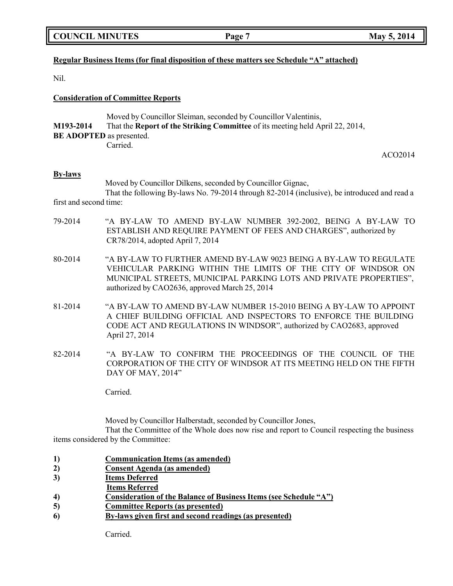### **Regular Business Items (for final disposition of these matters see Schedule "A" attached)**

Nil.

### **Consideration of Committee Reports**

|                                 | Moved by Councillor Sleiman, seconded by Councillor Valentinis,                      |
|---------------------------------|--------------------------------------------------------------------------------------|
| M193-2014                       | That the <b>Report of the Striking Committee</b> of its meeting held April 22, 2014, |
| <b>BE ADOPTED</b> as presented. |                                                                                      |
|                                 | Carried.                                                                             |

ACO2014

#### **By-laws**

Moved by Councillor Dilkens, seconded by Councillor Gignac, That the following By-laws No. 79-2014 through 82-2014 (inclusive), be introduced and read a

first and second time:

- 79-2014 "A BY-LAW TO AMEND BY-LAW NUMBER 392-2002, BEING A BY-LAW TO ESTABLISH AND REQUIRE PAYMENT OF FEES AND CHARGES", authorized by CR78/2014, adopted April 7, 2014
- 80-2014 "A BY-LAW TO FURTHER AMEND BY-LAW 9023 BEING A BY-LAW TO REGULATE VEHICULAR PARKING WITHIN THE LIMITS OF THE CITY OF WINDSOR ON MUNICIPAL STREETS, MUNICIPAL PARKING LOTS AND PRIVATE PROPERTIES", authorized by CAO2636, approved March 25, 2014
- 81-2014 "A BY-LAW TO AMEND BY-LAW NUMBER 15-2010 BEING A BY-LAW TO APPOINT A CHIEF BUILDING OFFICIAL AND INSPECTORS TO ENFORCE THE BUILDING CODE ACT AND REGULATIONS IN WINDSOR", authorized by CAO2683, approved April 27, 2014
- 82-2014 "A BY-LAW TO CONFIRM THE PROCEEDINGS OF THE COUNCIL OF THE CORPORATION OF THE CITY OF WINDSOR AT ITS MEETING HELD ON THE FIFTH DAY OF MAY, 2014"

Carried.

Moved by Councillor Halberstadt, seconded by Councillor Jones,

That the Committee of the Whole does now rise and report to Council respecting the business items considered by the Committee:

- **1) Communication Items (as amended)**
- **2) Consent Agenda (as amended)**
- **3) Items Deferred**
- **Items Referred**
- **4) Consideration of the Balance of Business Items (see Schedule "A")**
- **5) Committee Reports (as presented)**
- **6) By-laws given first and second readings (as presented)**

Carried.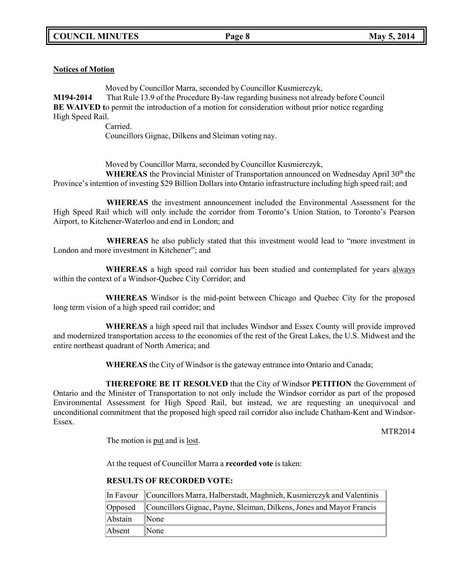# **Notices of Motion**

Moved by Councillor Marra, seconded by Councillor Kusmierczyk, **M194-2014** That Rule 13.9 of the Procedure By-law regarding business not already before Council **BE WAIVED t**o permit the introduction of a motion for consideration without prior notice regarding High Speed Rail.

Carried. Councillors Gignac, Dilkens and Sleiman voting nay.

Moved by Councillor Marra, seconded by Councillor Kusmierczyk,

**WHEREAS** the Provincial Minister of Transportation announced on Wednesday April 30<sup>th</sup> the Province's intention of investing \$29 Billion Dollars into Ontario infrastructure including high speed rail; and

**WHEREAS** the investment announcement included the Environmental Assessment for the High Speed Rail which will only include the corridor from Toronto's Union Station, to Toronto's Pearson Airport, to Kitchener-Waterloo and end in London; and

**WHEREAS** he also publicly stated that this investment would lead to "more investment in London and more investment in Kitchener"; and

**WHEREAS** a high speed rail corridor has been studied and contemplated for years always within the context of a Windsor-Quebec City Corridor; and

**WHEREAS** Windsor is the mid-point between Chicago and Quebec City for the proposed long term vision of a high speed rail corridor; and

**WHEREAS** a high speed rail that includes Windsor and Essex County will provide improved and modernized transportation access to the economies of the rest of the Great Lakes, the U.S. Midwest and the entire northeast quadrant of North America; and

**WHEREAS** the City of Windsor is the gateway entrance into Ontario and Canada;

**THEREFORE BE IT RESOLVED** that the City of Windsor **PETITION** the Government of Ontario and the Minister of Transportation to not only include the Windsor corridor as part of the proposed Environmental Assessment for High Speed Rail, but instead, we are requesting an unequivocal and unconditional commitment that the proposed high speed rail corridor also include Chatham-Kent and Windsor-Essex.

MTR2014

The motion is put and is lost.

At the request of Councillor Marra a **recorded vote** is taken:

### **RESULTS OF RECORDED VOTE:**

|         | In Favour Councillors Marra, Halberstadt, Maghnieh, Kusmierczyk and Valentinis |
|---------|--------------------------------------------------------------------------------|
|         | Opposed Councillors Gignac, Payne, Sleiman, Dilkens, Jones and Mayor Francis   |
| Abstain | $\blacksquare$ None                                                            |
| Absent  | $\mathbb{N}$ one                                                               |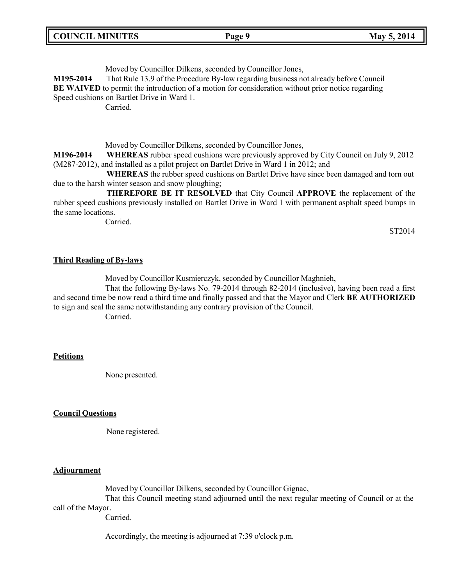| <b>COUNCIL MINUTES</b><br>May 5, 2014<br>Page 9 |  |
|-------------------------------------------------|--|
|-------------------------------------------------|--|

Moved by Councillor Dilkens, seconded by Councillor Jones,

**M195-2014** That Rule 13.9 of the Procedure By-law regarding business not already before Council **BE WAIVED** to permit the introduction of a motion for consideration without prior notice regarding Speed cushions on Bartlet Drive in Ward 1.

Carried.

Moved by Councillor Dilkens, seconded by Councillor Jones,

**M196-2014 WHEREAS** rubber speed cushions were previously approved by City Council on July 9, 2012 (M287-2012), and installed as a pilot project on Bartlet Drive in Ward 1 in 2012; and

**WHEREAS** the rubber speed cushions on Bartlet Drive have since been damaged and torn out due to the harsh winter season and snow ploughing;

**THEREFORE BE IT RESOLVED** that City Council **APPROVE** the replacement of the rubber speed cushions previously installed on Bartlet Drive in Ward 1 with permanent asphalt speed bumps in the same locations.

Carried.

ST2014

#### **Third Reading of By-laws**

Moved by Councillor Kusmierczyk, seconded by Councillor Maghnieh,

That the following By-laws No. 79-2014 through 82-2014 (inclusive), having been read a first and second time be now read a third time and finally passed and that the Mayor and Clerk **BE AUTHORIZED** to sign and seal the same notwithstanding any contrary provision of the Council. Carried.

### **Petitions**

None presented.

### **Council Questions**

None registered.

#### **Adjournment**

Moved by Councillor Dilkens, seconded by Councillor Gignac,

That this Council meeting stand adjourned until the next regular meeting of Council or at the call of the Mayor.

Carried.

Accordingly, the meeting is adjourned at 7:39 o'clock p.m.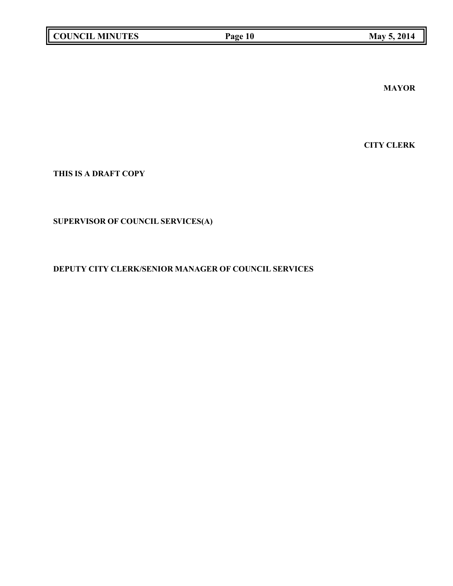**MAYOR**

**CITY CLERK**

**THIS IS A DRAFT COPY**

# **SUPERVISOR OF COUNCIL SERVICES(A)**

# **DEPUTY CITY CLERK/SENIOR MANAGER OF COUNCIL SERVICES**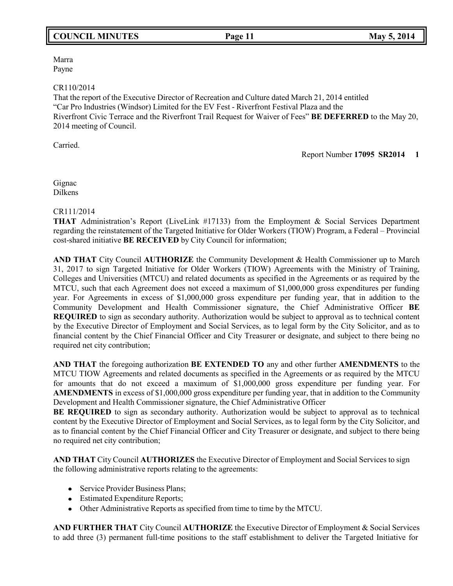# **COUNCIL MINUTES Page 11 May 5, 2014**

Marra Payne

#### CR110/2014

That the report of the Executive Director of Recreation and Culture dated March 21, 2014 entitled "Car Pro Industries (Windsor) Limited for the EV Fest - Riverfront Festival Plaza and the Riverfront Civic Terrace and the Riverfront Trail Request for Waiver of Fees" **BE DEFERRED** to the May 20, 2014 meeting of Council.

Carried.

Report Number **17095 SR2014 1**

Gignac Dilkens

### CR111/2014

**THAT** Administration's Report (LiveLink #17133) from the Employment & Social Services Department regarding the reinstatement of the Targeted Initiative for Older Workers (TIOW) Program, a Federal – Provincial cost-shared initiative **BE RECEIVED** by City Council for information;

**AND THAT** City Council **AUTHORIZE** the Community Development & Health Commissioner up to March 31, 2017 to sign Targeted Initiative for Older Workers (TIOW) Agreements with the Ministry of Training, Colleges and Universities (MTCU) and related documents as specified in the Agreements or as required by the MTCU, such that each Agreement does not exceed a maximum of \$1,000,000 gross expenditures per funding year. For Agreements in excess of \$1,000,000 gross expenditure per funding year, that in addition to the Community Development and Health Commissioner signature, the Chief Administrative Officer **BE REQUIRED** to sign as secondary authority. Authorization would be subject to approval as to technical content by the Executive Director of Employment and Social Services, as to legal form by the City Solicitor, and as to financial content by the Chief Financial Officer and City Treasurer or designate, and subject to there being no required net city contribution;

**AND THAT** the foregoing authorization **BE EXTENDED TO** any and other further **AMENDMENTS** to the MTCU TIOW Agreements and related documents as specified in the Agreements or as required by the MTCU for amounts that do not exceed a maximum of \$1,000,000 gross expenditure per funding year. For **AMENDMENTS** in excess of \$1,000,000 gross expenditure per funding year, that in addition to the Community Development and Health Commissioner signature, the Chief Administrative Officer

**BE REQUIRED** to sign as secondary authority. Authorization would be subject to approval as to technical content by the Executive Director of Employment and Social Services, as to legal form by the City Solicitor, and as to financial content by the Chief Financial Officer and City Treasurer or designate, and subject to there being no required net city contribution;

**AND THAT** City Council **AUTHORIZES** the Executive Director of Employment and Social Services to sign the following administrative reports relating to the agreements:

- Service Provider Business Plans;
- Estimated Expenditure Reports;
- Other Administrative Reports as specified from time to time by the MTCU.

**AND FURTHER THAT** City Council **AUTHORIZE** the Executive Director of Employment & Social Services to add three (3) permanent full-time positions to the staff establishment to deliver the Targeted Initiative for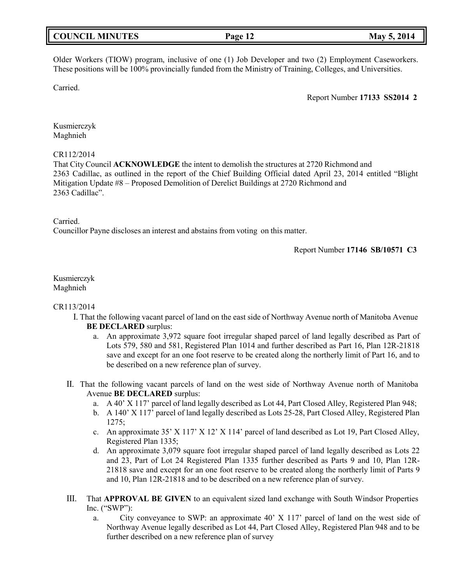| May 5, 2014<br><b>COUNCIL MINUTES</b><br>Page 12 |  |
|--------------------------------------------------|--|
|--------------------------------------------------|--|

Older Workers (TIOW) program, inclusive of one (1) Job Developer and two (2) Employment Caseworkers. These positions will be 100% provincially funded from the Ministry of Training, Colleges, and Universities.

Carried.

Report Number **17133 SS2014 2**

Kusmierczyk Maghnieh

#### CR112/2014

That City Council **ACKNOWLEDGE** the intent to demolish the structures at 2720 Richmond and 2363 Cadillac, as outlined in the report of the Chief Building Official dated April 23, 2014 entitled "Blight Mitigation Update #8 – Proposed Demolition of Derelict Buildings at 2720 Richmond and 2363 Cadillac".

Carried.

Councillor Payne discloses an interest and abstains from voting on this matter.

Report Number **17146 SB/10571 C3**

### Kusmierczyk Maghnieh

#### CR113/2014

- I. That the following vacant parcel of land on the east side of Northway Avenue north of Manitoba Avenue **BE DECLARED** surplus:
	- a. An approximate 3,972 square foot irregular shaped parcel of land legally described as Part of Lots 579, 580 and 581, Registered Plan 1014 and further described as Part 16, Plan 12R-21818 save and except for an one foot reserve to be created along the northerly limit of Part 16, and to be described on a new reference plan of survey.
- II. That the following vacant parcels of land on the west side of Northway Avenue north of Manitoba Avenue **BE DECLARED** surplus:
	- a. A 40' X 117' parcel of land legally described as Lot 44, Part Closed Alley, Registered Plan 948;
	- b. A 140' X 117' parcel of land legally described as Lots 25-28, Part Closed Alley, Registered Plan 1275;
	- c. An approximate 35' X 117' X 12' X 114' parcel of land described as Lot 19, Part Closed Alley, Registered Plan 1335;
	- d. An approximate 3,079 square foot irregular shaped parcel of land legally described as Lots 22 and 23, Part of Lot 24 Registered Plan 1335 further described as Parts 9 and 10, Plan 12R-21818 save and except for an one foot reserve to be created along the northerly limit of Parts 9 and 10, Plan 12R-21818 and to be described on a new reference plan of survey.
- III. That **APPROVAL BE GIVEN** to an equivalent sized land exchange with South Windsor Properties Inc. ("SWP"):
	- a. City conveyance to SWP: an approximate 40' X 117' parcel of land on the west side of Northway Avenue legally described as Lot 44, Part Closed Alley, Registered Plan 948 and to be further described on a new reference plan of survey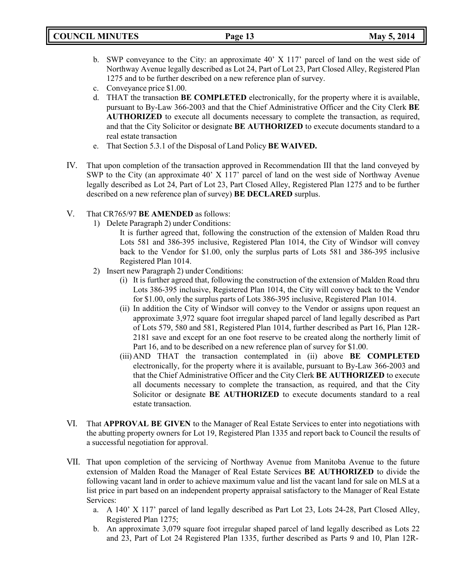- b. SWP conveyance to the City: an approximate 40' X 117' parcel of land on the west side of Northway Avenue legally described as Lot 24, Part of Lot 23, Part Closed Alley, Registered Plan 1275 and to be further described on a new reference plan of survey.
- c. Conveyance price \$1.00.
- d. THAT the transaction **BE COMPLETED** electronically, for the property where it is available, pursuant to By-Law 366-2003 and that the Chief Administrative Officer and the City Clerk **BE AUTHORIZED** to execute all documents necessary to complete the transaction, as required, and that the City Solicitor or designate **BE AUTHORIZED** to execute documents standard to a real estate transaction
- e. That Section 5.3.1 of the Disposal of Land Policy **BE WAIVED.**
- IV. That upon completion of the transaction approved in Recommendation III that the land conveyed by SWP to the City (an approximate 40' X 117' parcel of land on the west side of Northway Avenue legally described as Lot 24, Part of Lot 23, Part Closed Alley, Registered Plan 1275 and to be further described on a new reference plan of survey) **BE DECLARED** surplus.
- V. That CR765/97 **BE AMENDED** as follows:
	- 1) Delete Paragraph 2) under Conditions:

It is further agreed that, following the construction of the extension of Malden Road thru Lots 581 and 386-395 inclusive, Registered Plan 1014, the City of Windsor will convey back to the Vendor for \$1.00, only the surplus parts of Lots 581 and 386-395 inclusive Registered Plan 1014.

- 2) Insert new Paragraph 2) under Conditions:
	- (i) It is further agreed that, following the construction of the extension of Malden Road thru Lots 386-395 inclusive, Registered Plan 1014, the City will convey back to the Vendor for \$1.00, only the surplus parts of Lots 386-395 inclusive, Registered Plan 1014.
	- (ii) In addition the City of Windsor will convey to the Vendor or assigns upon request an approximate 3,972 square foot irregular shaped parcel of land legally described as Part of Lots 579, 580 and 581, Registered Plan 1014, further described as Part 16, Plan 12R-2181 save and except for an one foot reserve to be created along the northerly limit of Part 16, and to be described on a new reference plan of survey for \$1.00.
	- (iii) AND THAT the transaction contemplated in (ii) above **BE COMPLETED** electronically, for the property where it is available, pursuant to By-Law 366-2003 and that the Chief Administrative Officer and the City Clerk **BE AUTHORIZED** to execute all documents necessary to complete the transaction, as required, and that the City Solicitor or designate **BE AUTHORIZED** to execute documents standard to a real estate transaction.
- VI. That **APPROVAL BE GIVEN** to the Manager of Real Estate Services to enter into negotiations with the abutting property owners for Lot 19, Registered Plan 1335 and report back to Council the results of a successful negotiation for approval.
- VII. That upon completion of the servicing of Northway Avenue from Manitoba Avenue to the future extension of Malden Road the Manager of Real Estate Services **BE AUTHORIZED** to divide the following vacant land in order to achieve maximum value and list the vacant land for sale on MLS at a list price in part based on an independent property appraisal satisfactory to the Manager of Real Estate Services:
	- a. A 140' X 117' parcel of land legally described as Part Lot 23, Lots 24-28, Part Closed Alley, Registered Plan 1275;
	- b. An approximate 3,079 square foot irregular shaped parcel of land legally described as Lots 22 and 23, Part of Lot 24 Registered Plan 1335, further described as Parts 9 and 10, Plan 12R-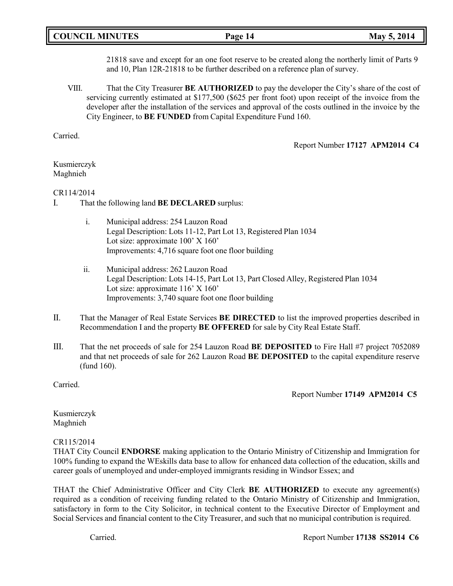|  | <b>COUNCIL MINUTES</b> |
|--|------------------------|
|--|------------------------|

21818 save and except for an one foot reserve to be created along the northerly limit of Parts 9 and 10, Plan 12R-21818 to be further described on a reference plan of survey.

VIII. That the City Treasurer **BE AUTHORIZED** to pay the developer the City's share of the cost of servicing currently estimated at \$177,500 (\$625 per front foot) upon receipt of the invoice from the developer after the installation of the services and approval of the costs outlined in the invoice by the City Engineer, to **BE FUNDED** from Capital Expenditure Fund 160.

Carried.

Report Number **17127 APM2014 C4**

### Kusmierczyk Maghnieh

### CR114/2014

- I. That the following land **BE DECLARED** surplus:
	- i. Municipal address: 254 Lauzon Road Legal Description: Lots 11-12, Part Lot 13, Registered Plan 1034 Lot size: approximate 100' X 160' Improvements: 4,716 square foot one floor building
	- ii. Municipal address: 262 Lauzon Road Legal Description: Lots 14-15, Part Lot 13, Part Closed Alley, Registered Plan 1034 Lot size: approximate 116' X 160' Improvements: 3,740 square foot one floor building
- II. That the Manager of Real Estate Services **BE DIRECTED** to list the improved properties described in Recommendation I and the property **BE OFFERED** for sale by City Real Estate Staff.
- III. That the net proceeds of sale for 254 Lauzon Road **BE DEPOSITED** to Fire Hall #7 project 7052089 and that net proceeds of sale for 262 Lauzon Road **BE DEPOSITED** to the capital expenditure reserve (fund 160).

Carried.

Report Number **17149 APM2014 C5**

Kusmierczyk Maghnieh

### CR115/2014

THAT City Council **ENDORSE** making application to the Ontario Ministry of Citizenship and Immigration for 100% funding to expand the WEskills data base to allow for enhanced data collection of the education, skills and career goals of unemployed and under-employed immigrants residing in Windsor Essex; and

THAT the Chief Administrative Officer and City Clerk **BE AUTHORIZED** to execute any agreement(s) required as a condition of receiving funding related to the Ontario Ministry of Citizenship and Immigration, satisfactory in form to the City Solicitor, in technical content to the Executive Director of Employment and Social Services and financial content to the City Treasurer, and such that no municipal contribution is required.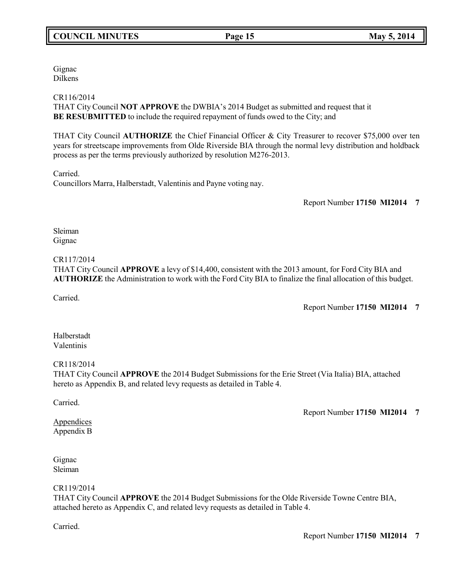# **COUNCIL MINUTES Page 15 May 5, 2014**

Gignac Dilkens

### CR116/2014

THAT City Council **NOT APPROVE** the DWBIA's 2014 Budget as submitted and request that it **BE RESUBMITTED** to include the required repayment of funds owed to the City; and

THAT City Council **AUTHORIZE** the Chief Financial Officer & City Treasurer to recover \$75,000 over ten years for streetscape improvements from Olde Riverside BIA through the normal levy distribution and holdback process as per the terms previously authorized by resolution M276-2013.

Carried.

Councillors Marra, Halberstadt, Valentinis and Payne voting nay.

Report Number **17150 MI2014 7**

Sleiman Gignac

### CR117/2014

THAT City Council **APPROVE** a levy of \$14,400, consistent with the 2013 amount, for Ford City BIA and **AUTHORIZE** the Administration to work with the Ford City BIA to finalize the final allocation of this budget.

Carried.

Report Number **17150 MI2014 7**

Halberstadt Valentinis

CR118/2014

THAT City Council **APPROVE** the 2014 Budget Submissions for the Erie Street (Via Italia) BIA, attached hereto as Appendix B, and related levy requests as detailed in Table 4.

Carried.

**Appendices** Appendix B Report Number **17150 MI2014 7**

Gignac Sleiman

### CR119/2014

THAT City Council **APPROVE** the 2014 Budget Submissions for the Olde Riverside Towne Centre BIA, attached hereto as Appendix C, and related levy requests as detailed in Table 4.

Carried.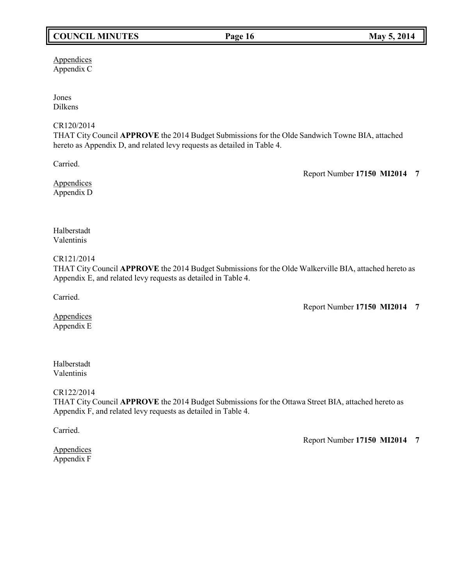# **COUNCIL MINUTES Page 16 May 5, 2014**

Appendices Appendix C

Jones Dilkens

### CR120/2014

THAT City Council **APPROVE** the 2014 Budget Submissions for the Olde Sandwich Towne BIA, attached hereto as Appendix D, and related levy requests as detailed in Table 4.

Carried.

Report Number **17150 MI2014 7**

**Appendices** Appendix D

Halberstadt Valentinis

CR121/2014

THAT City Council **APPROVE** the 2014 Budget Submissions for the Olde Walkerville BIA, attached hereto as Appendix E, and related levy requests as detailed in Table 4.

Carried.

Report Number **17150 MI2014 7**

**Appendices** Appendix E

# Halberstadt Valentinis

CR122/2014

THAT City Council **APPROVE** the 2014 Budget Submissions for the Ottawa Street BIA, attached hereto as Appendix F, and related levy requests as detailed in Table 4.

Carried.

Report Number **17150 MI2014 7**

**Appendices** Appendix F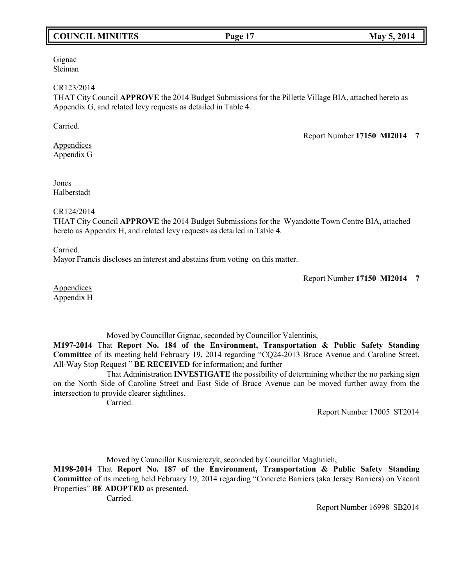# **COUNCIL MINUTES Page 17 May 5, 2014**

#### Gignac Sleiman

#### CR123/2014

THAT City Council **APPROVE** the 2014 Budget Submissions for the Pillette Village BIA, attached hereto as Appendix G, and related levy requests as detailed in Table 4.

Carried.

Report Number **17150 MI2014 7**

Appendices Appendix G

Jones Halberstadt

### CR124/2014

THAT City Council **APPROVE** the 2014 Budget Submissions for the Wyandotte Town Centre BIA, attached hereto as Appendix H, and related levy requests as detailed in Table 4.

Carried.

Mayor Francis discloses an interest and abstains from voting on this matter.

Report Number **17150 MI2014 7**

**Appendices** Appendix H

Moved by Councillor Gignac, seconded by Councillor Valentinis,

**M197-2014** That **Report No. 184 of the Environment, Transportation & Public Safety Standing Committee** of its meeting held February 19, 2014 regarding "CQ24-2013 Bruce Avenue and Caroline Street, All-Way Stop Request " **BE RECEIVED** for information; and further

That Administration **INVESTIGATE** the possibility of determining whether the no parking sign on the North Side of Caroline Street and East Side of Bruce Avenue can be moved further away from the intersection to provide clearer sightlines.

Carried.

Report Number 17005 ST2014

Moved by Councillor Kusmierczyk, seconded by Councillor Maghnieh,

**M198-2014** That **Report No. 187 of the Environment, Transportation & Public Safety Standing Committee** of its meeting held February 19, 2014 regarding "Concrete Barriers (aka Jersey Barriers) on Vacant Properties" **BE ADOPTED** as presented.

Carried.

Report Number 16998 SB2014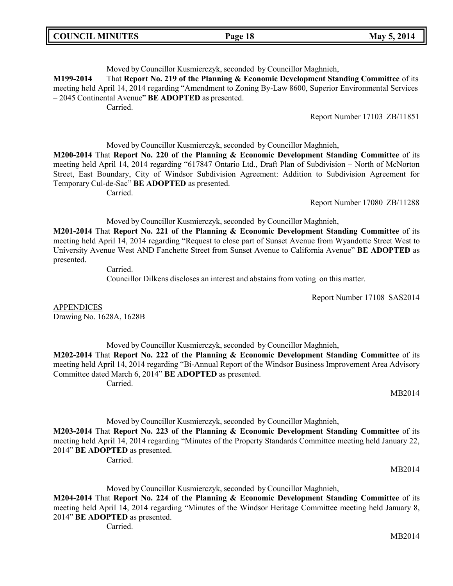| <b>COUNCIL MINUTES</b> | Page 18 | May 5, 2014 |
|------------------------|---------|-------------|
|------------------------|---------|-------------|

Moved by Councillor Kusmierczyk, seconded by Councillor Maghnieh,

**M199-2014** That **Report No. 219 of the Planning & Economic Development Standing Committee** of its meeting held April 14, 2014 regarding "Amendment to Zoning By-Law 8600, Superior Environmental Services – 2045 Continental Avenue" **BE ADOPTED** as presented.

Carried.

Report Number 17103 ZB/11851

Moved by Councillor Kusmierczyk, seconded by Councillor Maghnieh,

**M200-2014** That **Report No. 220 of the Planning & Economic Development Standing Committee** of its meeting held April 14, 2014 regarding "617847 Ontario Ltd., Draft Plan of Subdivision – North of McNorton Street, East Boundary, City of Windsor Subdivision Agreement: Addition to Subdivision Agreement for Temporary Cul-de-Sac" **BE ADOPTED** as presented.

Carried.

Report Number 17080 ZB/11288

Moved by Councillor Kusmierczyk, seconded by Councillor Maghnieh,

**M201-2014** That **Report No. 221 of the Planning & Economic Development Standing Committee** of its meeting held April 14, 2014 regarding "Request to close part of Sunset Avenue from Wyandotte Street West to University Avenue West AND Fanchette Street from Sunset Avenue to California Avenue" **BE ADOPTED** as presented.

Carried.

Councillor Dilkens discloses an interest and abstains from voting on this matter.

Report Number 17108 SAS2014

APPENDICES Drawing No. 1628A, 1628B

Moved by Councillor Kusmierczyk, seconded by Councillor Maghnieh,

**M202-2014** That **Report No. 222 of the Planning & Economic Development Standing Committee** of its meeting held April 14, 2014 regarding "Bi-Annual Report of the Windsor Business Improvement Area Advisory Committee dated March 6, 2014" **BE ADOPTED** as presented. Carried.

MB2014

Moved by Councillor Kusmierczyk, seconded by Councillor Maghnieh,

**M203-2014** That **Report No. 223 of the Planning & Economic Development Standing Committee** of its meeting held April 14, 2014 regarding "Minutes of the Property Standards Committee meeting held January 22, 2014" **BE ADOPTED** as presented.

Carried.

MB2014

Moved by Councillor Kusmierczyk, seconded by Councillor Maghnieh, **M204-2014** That **Report No. 224 of the Planning & Economic Development Standing Committee** of its meeting held April 14, 2014 regarding "Minutes of the Windsor Heritage Committee meeting held January 8, 2014" **BE ADOPTED** as presented.

Carried.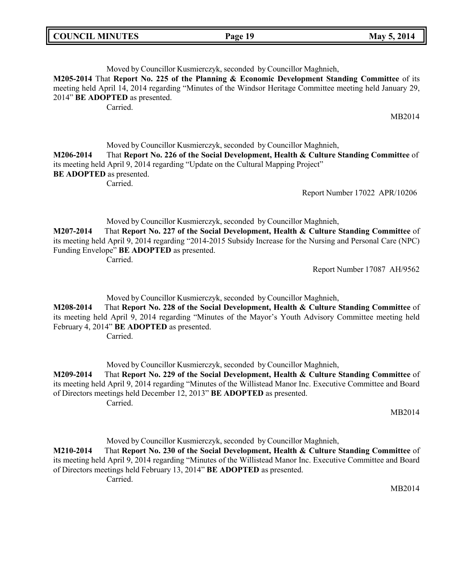| <b>COUNCIL MINUTES</b> |  |  |  |
|------------------------|--|--|--|
|------------------------|--|--|--|

### Moved by Councillor Kusmierczyk, seconded by Councillor Maghnieh, **M205-2014** That **Report No. 225 of the Planning & Economic Development Standing Committee** of its meeting held April 14, 2014 regarding "Minutes of the Windsor Heritage Committee meeting held January 29, 2014" **BE ADOPTED** as presented. Carried.

MB2014

Moved by Councillor Kusmierczyk, seconded by Councillor Maghnieh, **M206-2014** That **Report No. 226 of the Social Development, Health & Culture Standing Committee** of its meeting held April 9, 2014 regarding "Update on the Cultural Mapping Project" **BE ADOPTED** as presented. Carried.

Report Number 17022 APR/10206

Moved by Councillor Kusmierczyk, seconded by Councillor Maghnieh,

**M207-2014** That **Report No. 227 of the Social Development, Health & Culture Standing Committee** of its meeting held April 9, 2014 regarding "2014-2015 Subsidy Increase for the Nursing and Personal Care (NPC) Funding Envelope" **BE ADOPTED** as presented. Carried.

Report Number 17087 AH/9562

Moved by Councillor Kusmierczyk, seconded by Councillor Maghnieh, **M208-2014** That **Report No. 228 of the Social Development, Health & Culture Standing Committee** of its meeting held April 9, 2014 regarding "Minutes of the Mayor's Youth Advisory Committee meeting held February 4, 2014" **BE ADOPTED** as presented. Carried.

Moved by Councillor Kusmierczyk, seconded by Councillor Maghnieh,

**M209-2014** That **Report No. 229 of the Social Development, Health & Culture Standing Committee** of its meeting held April 9, 2014 regarding "Minutes of the Willistead Manor Inc. Executive Committee and Board of Directors meetings held December 12, 2013" **BE ADOPTED** as presented. Carried.

MB2014

Moved by Councillor Kusmierczyk, seconded by Councillor Maghnieh,

**M210-2014** That **Report No. 230 of the Social Development, Health & Culture Standing Committee** of its meeting held April 9, 2014 regarding "Minutes of the Willistead Manor Inc. Executive Committee and Board of Directors meetings held February 13, 2014" **BE ADOPTED** as presented. Carried.

MB2014

**Page 19 May** 5, 2014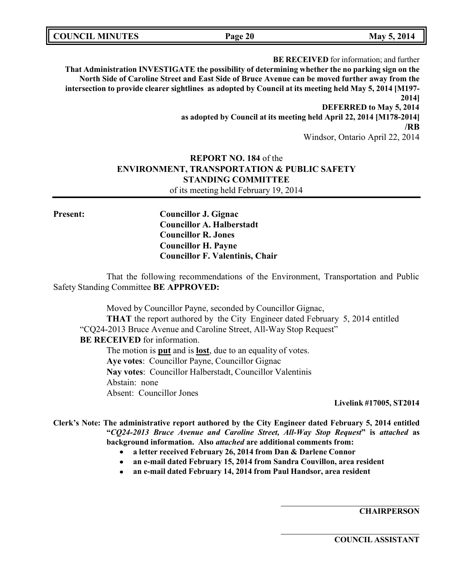| <b>COUNCIL MINUTES</b> | Page 20 | May 5, 2014 |
|------------------------|---------|-------------|
|                        |         |             |

**BE RECEIVED** for information; and further **That Administration INVESTIGATE the possibility of determining whether the no parking sign on the North Side of Caroline Street and East Side of Bruce Avenue can be moved further away from the intersection to provide clearer sightlines as adopted by Council at its meeting held May 5, 2014 [M197- 2014] DEFERRED to May 5, 2014 as adopted by Council at its meeting held April 22, 2014 [M178-2014] /RB** Windsor, Ontario April 22, 2014

# **REPORT NO. 184** of the **ENVIRONMENT, TRANSPORTATION & PUBLIC SAFETY STANDING COMMITTEE** of its meeting held February 19, 2014

**Present: Councillor J. Gignac Councillor A. Halberstadt Councillor R. Jones Councillor H. Payne Councillor F. Valentinis, Chair**

That the following recommendations of the Environment, Transportation and Public Safety Standing Committee **BE APPROVED:**

Moved by Councillor Payne, seconded by Councillor Gignac, **THAT** the report authored by the City Engineer dated February 5, 2014 entitled "CQ24-2013 Bruce Avenue and Caroline Street, All-Way Stop Request" **BE RECEIVED** for information. The motion is **put** and is **lost**, due to an equality of votes. **Aye votes**: Councillor Payne, Councillor Gignac **Nay votes**: Councillor Halberstadt, Councillor Valentinis Abstain: none Absent: Councillor Jones

**Livelink #17005, ST2014**

**Clerk's Note: The administrative report authored by the City Engineer dated February 5, 2014 entitled "***CQ24-2013 Bruce Avenue and Caroline Street, All-Way Stop Request***" is** *attached* **as background information. Also** *attached* **are additional comments from:**

- **a letter received February 26, 2014 from Dan & Darlene Connor**
- **an e-mail dated February 15, 2014 from Sandra Couvillon, area resident**
- **an e-mail dated February 14, 2014 from Paul Handsor, area resident**

**CHAIRPERSON**

**COUNCIL ASSISTANT**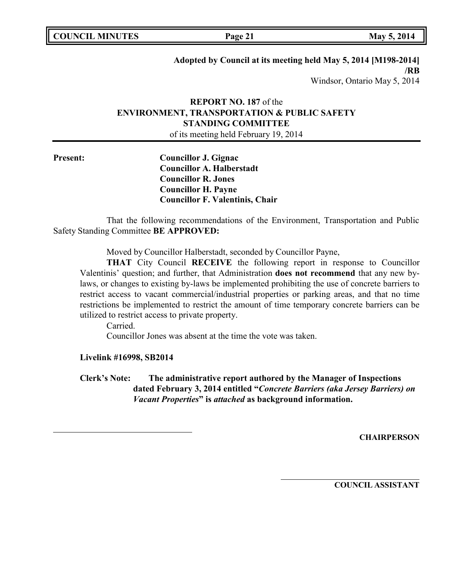**COUNCIL EXECUTE: Page 21 May** 5, 2014

# **Adopted by Council at its meeting held May 5, 2014 [M198-2014] /RB**

Windsor, Ontario May 5, 2014

# **REPORT NO. 187** of the **ENVIRONMENT, TRANSPORTATION & PUBLIC SAFETY STANDING COMMITTEE**

of its meeting held February 19, 2014

**Present: Councillor J. Gignac Councillor A. Halberstadt Councillor R. Jones Councillor H. Payne Councillor F. Valentinis, Chair**

That the following recommendations of the Environment, Transportation and Public Safety Standing Committee **BE APPROVED:**

Moved by Councillor Halberstadt, seconded by Councillor Payne,

**THAT** City Council **RECEIVE** the following report in response to Councillor Valentinis' question; and further, that Administration **does not recommend** that any new bylaws, or changes to existing by-laws be implemented prohibiting the use of concrete barriers to restrict access to vacant commercial/industrial properties or parking areas, and that no time restrictions be implemented to restrict the amount of time temporary concrete barriers can be utilized to restrict access to private property.

Carried.

Councillor Jones was absent at the time the vote was taken.

**Livelink #16998, SB2014**

**Clerk's Note: The administrative report authored by the Manager of Inspections dated February 3, 2014 entitled "***Concrete Barriers (aka Jersey Barriers) on Vacant Properties***" is** *attached* **as background information.**

**CHAIRPERSON**

**COUNCIL ASSISTANT**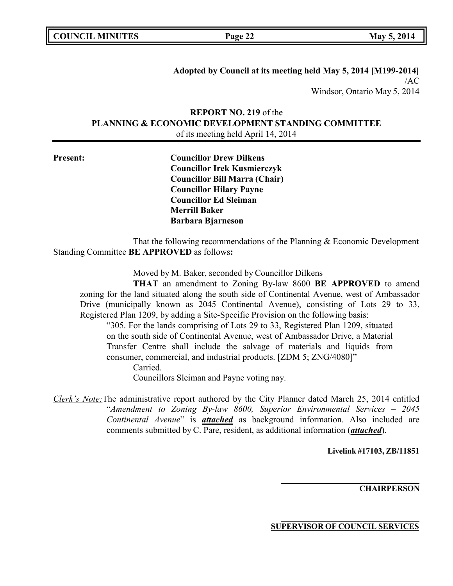| <b>COUNCIL MINUTES</b> |  |  |
|------------------------|--|--|
|------------------------|--|--|

**Adopted by Council at its meeting held May 5, 2014 [M199-2014]** /AC Windsor, Ontario May 5, 2014

# **REPORT NO. 219** of the **PLANNING & ECONOMIC DEVELOPMENT STANDING COMMITTEE** of its meeting held April 14, 2014

**Present: Councillor Drew Dilkens Councillor Irek Kusmierczyk Councillor Bill Marra (Chair) Councillor Hilary Payne Councillor Ed Sleiman Merrill Baker Barbara Bjarneson**

That the following recommendations of the Planning & Economic Development Standing Committee **BE APPROVED** as follows**:**

Moved by M. Baker, seconded by Councillor Dilkens

**THAT** an amendment to Zoning By-law 8600 **BE APPROVED** to amend zoning for the land situated along the south side of Continental Avenue, west of Ambassador Drive (municipally known as 2045 Continental Avenue), consisting of Lots 29 to 33, Registered Plan 1209, by adding a Site-Specific Provision on the following basis:

"305. For the lands comprising of Lots 29 to 33, Registered Plan 1209, situated on the south side of Continental Avenue, west of Ambassador Drive, a Material Transfer Centre shall include the salvage of materials and liquids from consumer, commercial, and industrial products. [ZDM 5; ZNG/4080]"

Carried.

Councillors Sleiman and Payne voting nay.

*Clerk's Note:*The administrative report authored by the City Planner dated March 25, 2014 entitled "*Amendment to Zoning By-law 8600, Superior Environmental Services – 2045 Continental Avenue*" is *attached* as background information. Also included are comments submitted by C. Pare, resident, as additional information (*attached*).

**Livelink #17103, ZB/11851**

**CHAIRPERSON**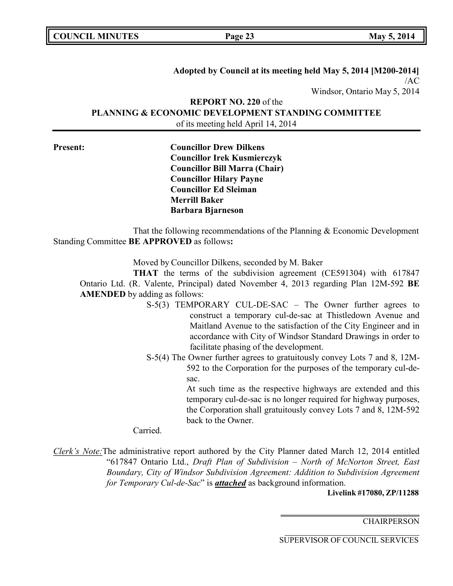| <b>COUNCIL MINUTES</b> |  |
|------------------------|--|
|------------------------|--|

**Page 23 May** 5, 2014

**Adopted by Council at its meeting held May 5, 2014 [M200-2014]** /AC Windsor, Ontario May 5, 2014

**REPORT NO. 220** of the **PLANNING & ECONOMIC DEVELOPMENT STANDING COMMITTEE** of its meeting held April 14, 2014

**Present: Councillor Drew Dilkens Councillor Irek Kusmierczyk Councillor Bill Marra (Chair) Councillor Hilary Payne Councillor Ed Sleiman Merrill Baker Barbara Bjarneson**

That the following recommendations of the Planning & Economic Development Standing Committee **BE APPROVED** as follows**:**

Moved by Councillor Dilkens, seconded by M. Baker

**THAT** the terms of the subdivision agreement (CE591304) with 617847 Ontario Ltd. (R. Valente, Principal) dated November 4, 2013 regarding Plan 12M-592 **BE AMENDED** by adding as follows:

- S-5(3) TEMPORARY CUL-DE-SAC The Owner further agrees to construct a temporary cul-de-sac at Thistledown Avenue and Maitland Avenue to the satisfaction of the City Engineer and in accordance with City of Windsor Standard Drawings in order to facilitate phasing of the development.
- S-5(4) The Owner further agrees to gratuitously convey Lots 7 and 8, 12M-592 to the Corporation for the purposes of the temporary cul-desac.

At such time as the respective highways are extended and this temporary cul-de-sac is no longer required for highway purposes, the Corporation shall gratuitously convey Lots 7 and 8, 12M-592 back to the Owner.

Carried.

*Clerk's Note:*The administrative report authored by the City Planner dated March 12, 2014 entitled "617847 Ontario Ltd., *Draft Plan of Subdivision – North of McNorton Street, East Boundary, City of Windsor Subdivision Agreement: Addition to Subdivision Agreement for Temporary Cul-de-Sac*" is *attached* as background information.

**Livelink #17080, ZP/11288**

**CHAIRPERSON**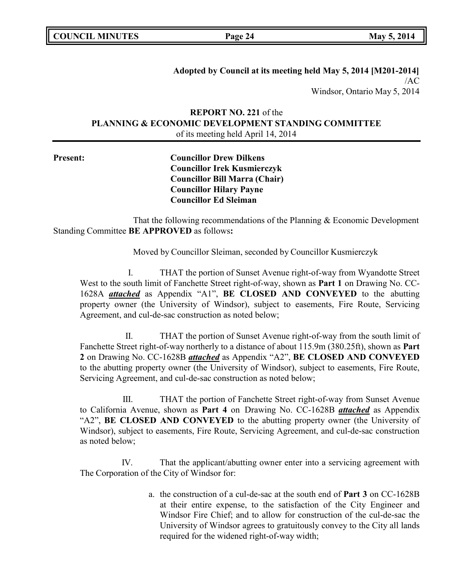**COUNCIL MINUTES Page 24 May 5, 2014**

**Adopted by Council at its meeting held May 5, 2014 [M201-2014]** /AC Windsor, Ontario May 5, 2014

**REPORT NO. 221** of the **PLANNING & ECONOMIC DEVELOPMENT STANDING COMMITTEE** of its meeting held April 14, 2014

**Present: Councillor Drew Dilkens Councillor Irek Kusmierczyk Councillor Bill Marra (Chair) Councillor Hilary Payne Councillor Ed Sleiman**

That the following recommendations of the Planning & Economic Development Standing Committee **BE APPROVED** as follows**:**

Moved by Councillor Sleiman, seconded by Councillor Kusmierczyk

I. THAT the portion of Sunset Avenue right-of-way from Wyandotte Street West to the south limit of Fanchette Street right-of-way, shown as **Part 1** on Drawing No. CC-1628A *attached* as Appendix "A1", **BE CLOSED AND CONVEYED** to the abutting property owner (the University of Windsor), subject to easements, Fire Route, Servicing Agreement, and cul-de-sac construction as noted below;

II. THAT the portion of Sunset Avenue right-of-way from the south limit of Fanchette Street right-of-way northerly to a distance of about 115.9m (380.25ft), shown as **Part 2** on Drawing No. CC-1628B *attached* as Appendix "A2", **BE CLOSED AND CONVEYED** to the abutting property owner (the University of Windsor), subject to easements, Fire Route, Servicing Agreement, and cul-de-sac construction as noted below;

III. THAT the portion of Fanchette Street right-of-way from Sunset Avenue to California Avenue, shown as **Part 4** on Drawing No. CC-1628B *attached* as Appendix "A2", **BE CLOSED AND CONVEYED** to the abutting property owner (the University of Windsor), subject to easements, Fire Route, Servicing Agreement, and cul-de-sac construction as noted below;

IV. That the applicant/abutting owner enter into a servicing agreement with The Corporation of the City of Windsor for:

> a. the construction of a cul-de-sac at the south end of **Part 3** on CC-1628B at their entire expense, to the satisfaction of the City Engineer and Windsor Fire Chief; and to allow for construction of the cul-de-sac the University of Windsor agrees to gratuitously convey to the City all lands required for the widened right-of-way width;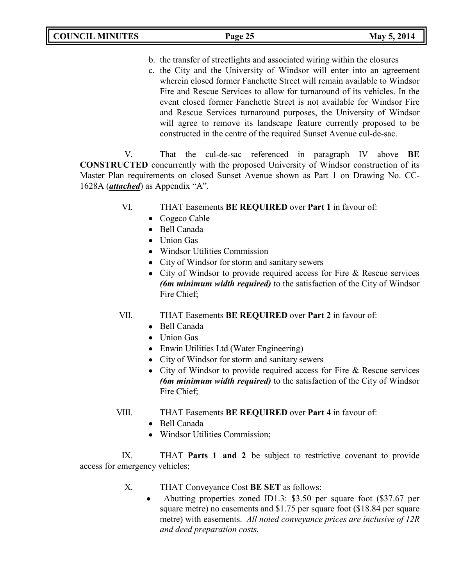b. the transfer of streetlights and associated wiring within the closures

c. the City and the University of Windsor will enter into an agreement wherein closed former Fanchette Street will remain available to Windsor Fire and Rescue Services to allow for turnaround of its vehicles. In the event closed former Fanchette Street is not available for Windsor Fire and Rescue Services turnaround purposes, the University of Windsor will agree to remove its landscape feature currently proposed to be constructed in the centre of the required Sunset Avenue cul-de-sac.

V. That the cul-de-sac referenced in paragraph IV above **BE CONSTRUCTED** concurrently with the proposed University of Windsor construction of its Master Plan requirements on closed Sunset Avenue shown as Part 1 on Drawing No. CC-1628A (*attached*) as Appendix "A".

- VI. THAT Easements **BE REQUIRED** over **Part 1** in favour of:
	- Cogeco Cable
	- Bell Canada
	- Union Gas
	- Windsor Utilities Commission
	- City of Windsor for storm and sanitary sewers
	- City of Windsor to provide required access for Fire & Rescue services *(6m minimum width required)* to the satisfaction of the City of Windsor Fire Chief;
- VII. THAT Easements **BE REQUIRED** over **Part 2** in favour of:
	- Bell Canada
	- Union Gas
	- Enwin Utilities Ltd (Water Engineering)
	- City of Windsor for storm and sanitary sewers
	- City of Windsor to provide required access for Fire & Rescue services *(6m minimum width required)* to the satisfaction of the City of Windsor Fire Chief;
- VIII. THAT Easements **BE REQUIRED** over **Part 4** in favour of:
	- Bell Canada
	- Windsor Utilities Commission;

IX. THAT **Parts 1 and 2** be subject to restrictive covenant to provide access for emergency vehicles;

- X. THAT Conveyance Cost **BE SET** as follows:
	- Abutting properties zoned ID1.3: \$3.50 per square foot (\$37.67 per  $\bullet$ square metre) no easements and \$1.75 per square foot (\$18.84 per square metre) with easements. *All noted conveyance prices are inclusive of 12R and deed preparation costs.*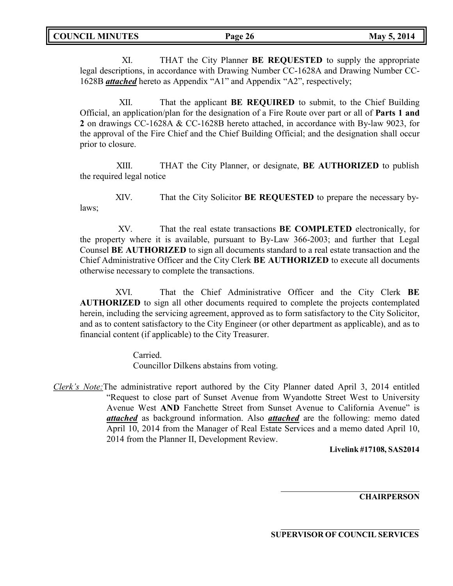XI. THAT the City Planner **BE REQUESTED** to supply the appropriate legal descriptions, in accordance with Drawing Number CC-1628A and Drawing Number CC-1628B *attached* hereto as Appendix "A1" and Appendix "A2", respectively;

XII. That the applicant **BE REQUIRED** to submit, to the Chief Building Official, an application/plan for the designation of a Fire Route over part or all of **Parts 1 and 2** on drawings CC-1628A & CC-1628B hereto attached, in accordance with By-law 9023, for the approval of the Fire Chief and the Chief Building Official; and the designation shall occur prior to closure.

XIII. THAT the City Planner, or designate, **BE AUTHORIZED** to publish the required legal notice

XIV. That the City Solicitor **BE REQUESTED** to prepare the necessary bylaws;

XV. That the real estate transactions **BE COMPLETED** electronically, for the property where it is available, pursuant to By-Law 366-2003; and further that Legal Counsel **BE AUTHORIZED** to sign all documents standard to a real estate transaction and the Chief Administrative Officer and the City Clerk **BE AUTHORIZED** to execute all documents otherwise necessary to complete the transactions.

XVI. That the Chief Administrative Officer and the City Clerk **BE AUTHORIZED** to sign all other documents required to complete the projects contemplated herein, including the servicing agreement, approved as to form satisfactory to the City Solicitor, and as to content satisfactory to the City Engineer (or other department as applicable), and as to financial content (if applicable) to the City Treasurer.

> Carried. Councillor Dilkens abstains from voting.

*Clerk's Note:*The administrative report authored by the City Planner dated April 3, 2014 entitled "Request to close part of Sunset Avenue from Wyandotte Street West to University Avenue West **AND** Fanchette Street from Sunset Avenue to California Avenue" is *attached* as background information. Also *attached* are the following: memo dated April 10, 2014 from the Manager of Real Estate Services and a memo dated April 10, 2014 from the Planner II, Development Review.

**Livelink #17108, SAS2014**

**CHAIRPERSON**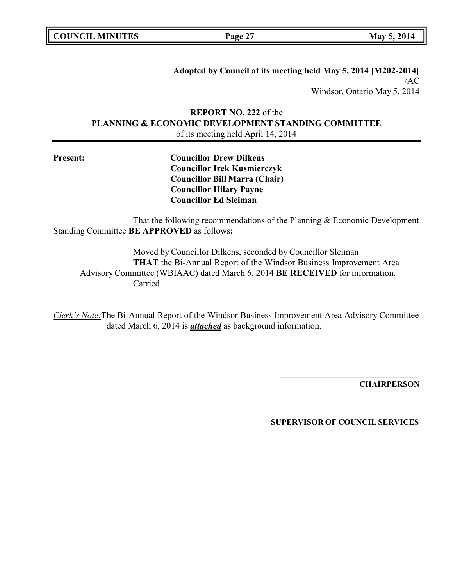**COUNCIL MINUTES Page 27 May 5, 2014**

**Adopted by Council at its meeting held May 5, 2014 [M202-2014]** /AC Windsor, Ontario May 5, 2014

**REPORT NO. 222** of the **PLANNING & ECONOMIC DEVELOPMENT STANDING COMMITTEE** of its meeting held April 14, 2014

**Present: Councillor Drew Dilkens Councillor Irek Kusmierczyk Councillor Bill Marra (Chair) Councillor Hilary Payne Councillor Ed Sleiman**

That the following recommendations of the Planning & Economic Development Standing Committee **BE APPROVED** as follows**:**

Moved by Councillor Dilkens, seconded by Councillor Sleiman **THAT** the Bi-Annual Report of the Windsor Business Improvement Area Advisory Committee (WBIAAC) dated March 6, 2014 **BE RECEIVED** for information. Carried.

*Clerk's Note:*The Bi-Annual Report of the Windsor Business Improvement Area Advisory Committee dated March 6, 2014 is *attached* as background information.

**CHAIRPERSON**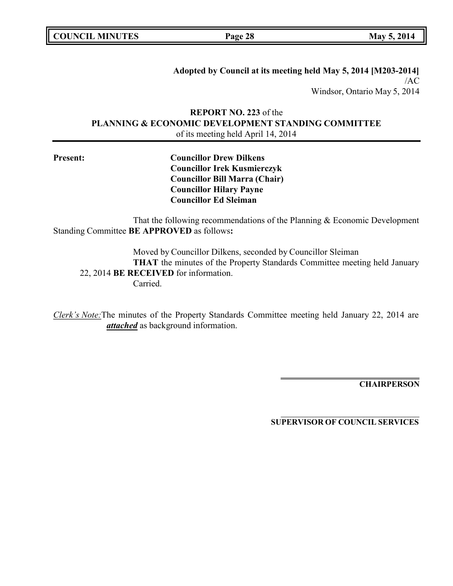**COUNCIL MINUTES Page 28 May 5, 2014**

**Adopted by Council at its meeting held May 5, 2014 [M203-2014]** /AC Windsor, Ontario May 5, 2014

# **REPORT NO. 223** of the **PLANNING & ECONOMIC DEVELOPMENT STANDING COMMITTEE** of its meeting held April 14, 2014

**Present: Councillor Drew Dilkens Councillor Irek Kusmierczyk Councillor Bill Marra (Chair) Councillor Hilary Payne Councillor Ed Sleiman**

That the following recommendations of the Planning & Economic Development Standing Committee **BE APPROVED** as follows**:**

Moved by Councillor Dilkens, seconded by Councillor Sleiman **THAT** the minutes of the Property Standards Committee meeting held January 22, 2014 **BE RECEIVED** for information. Carried.

*Clerk's Note:*The minutes of the Property Standards Committee meeting held January 22, 2014 are *attached* as background information.

**CHAIRPERSON**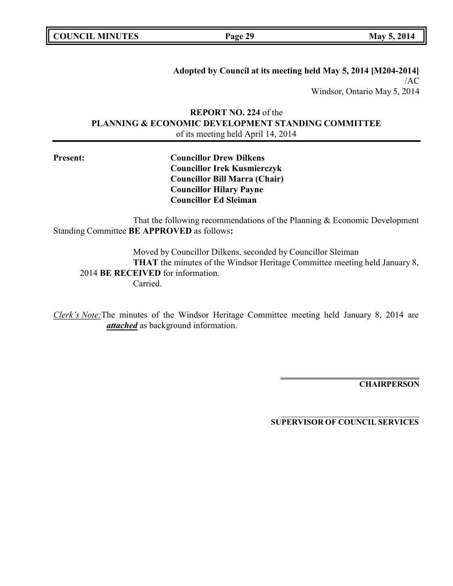**COUNCIL MINUTES Page 29 May 5, 2014**

**Adopted by Council at its meeting held May 5, 2014 [M204-2014]** /AC Windsor, Ontario May 5, 2014

# **REPORT NO. 224** of the **PLANNING & ECONOMIC DEVELOPMENT STANDING COMMITTEE** of its meeting held April 14, 2014

**Present: Councillor Drew Dilkens Councillor Irek Kusmierczyk Councillor Bill Marra (Chair) Councillor Hilary Payne Councillor Ed Sleiman**

That the following recommendations of the Planning & Economic Development Standing Committee **BE APPROVED** as follows**:**

Moved by Councillor Dilkens, seconded by Councillor Sleiman **THAT** the minutes of the Windsor Heritage Committee meeting held January 8, 2014 **BE RECEIVED** for information. Carried.

*Clerk's Note:*The minutes of the Windsor Heritage Committee meeting held January 8, 2014 are *attached* as background information.

**CHAIRPERSON**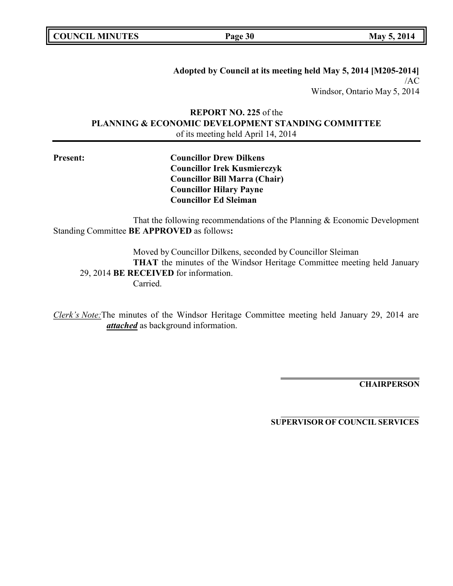**COUNCIL MINUTES Page 30 May 5, 2014**

**Adopted by Council at its meeting held May 5, 2014 [M205-2014]** /AC Windsor, Ontario May 5, 2014

# **REPORT NO. 225** of the **PLANNING & ECONOMIC DEVELOPMENT STANDING COMMITTEE** of its meeting held April 14, 2014

**Present: Councillor Drew Dilkens Councillor Irek Kusmierczyk Councillor Bill Marra (Chair) Councillor Hilary Payne Councillor Ed Sleiman**

That the following recommendations of the Planning & Economic Development Standing Committee **BE APPROVED** as follows**:**

Moved by Councillor Dilkens, seconded by Councillor Sleiman **THAT** the minutes of the Windsor Heritage Committee meeting held January 29, 2014 **BE RECEIVED** for information. Carried.

*Clerk's Note:*The minutes of the Windsor Heritage Committee meeting held January 29, 2014 are *attached* as background information.

**CHAIRPERSON**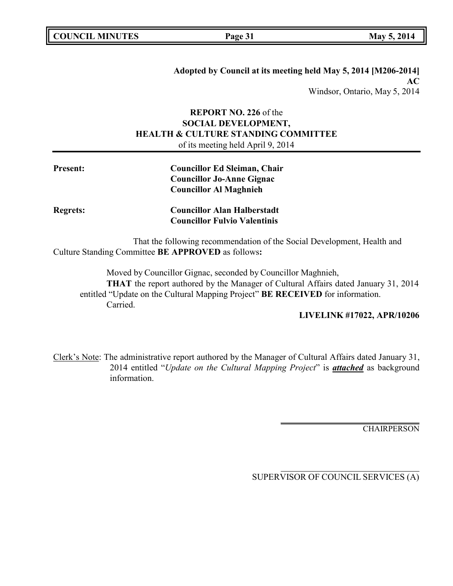**Adopted by Council at its meeting held May 5, 2014 [M206-2014] AC** Windsor, Ontario, May 5, 2014

# **REPORT NO. 226** of the **SOCIAL DEVELOPMENT, HEALTH & CULTURE STANDING COMMITTEE** of its meeting held April 9, 2014

| <b>Present:</b> | <b>Councillor Ed Sleiman, Chair</b><br><b>Councillor Jo-Anne Gignac</b>                                                       |
|-----------------|-------------------------------------------------------------------------------------------------------------------------------|
|                 | <b>Councillor Al Maghnieh</b>                                                                                                 |
| <b>Regrets:</b> | <b>Councillor Alan Halberstadt</b>                                                                                            |
|                 | <b>Councillor Fulvio Valentinis</b>                                                                                           |
|                 | That the following recommendation of the Social Development, Health and<br>Culture Standing Committee BE APPROVED as follows: |

Moved by Councillor Gignac, seconded by Councillor Maghnieh, **THAT** the report authored by the Manager of Cultural Affairs dated January 31, 2014 entitled "Update on the Cultural Mapping Project" **BE RECEIVED** for information. Carried.

# **LIVELINK #17022, APR/10206**

Clerk's Note: The administrative report authored by the Manager of Cultural Affairs dated January 31, 2014 entitled "*Update on the Cultural Mapping Project*" is *attached* as background information.

**CHAIRPERSON**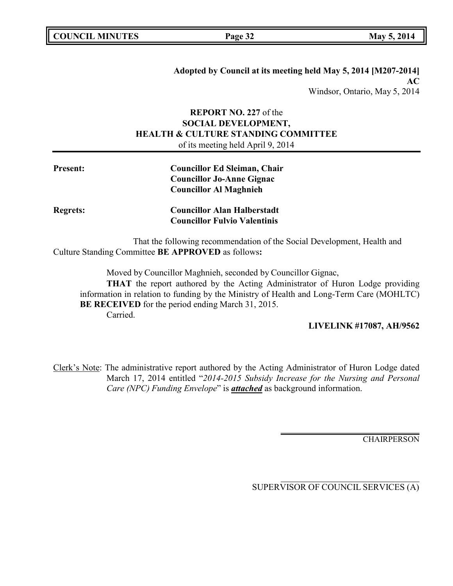**Adopted by Council at its meeting held May 5, 2014 [M207-2014] AC** Windsor, Ontario, May 5, 2014

# **REPORT NO. 227** of the **SOCIAL DEVELOPMENT, HEALTH & CULTURE STANDING COMMITTEE** of its meeting held April 9, 2014

| Present:        | <b>Councillor Ed Sleiman, Chair</b><br><b>Councillor Jo-Anne Gignac</b><br><b>Councillor Al Maghnieh</b> |
|-----------------|----------------------------------------------------------------------------------------------------------|
| <b>Regrets:</b> | <b>Councillor Alan Halberstadt</b><br><b>Councillor Fulvio Valentinis</b>                                |

That the following recommendation of the Social Development, Health and Culture Standing Committee **BE APPROVED** as follows**:**

Moved by Councillor Maghnieh, seconded by Councillor Gignac,

**THAT** the report authored by the Acting Administrator of Huron Lodge providing information in relation to funding by the Ministry of Health and Long-Term Care (MOHLTC) **BE RECEIVED** for the period ending March 31, 2015. Carried.

#### **LIVELINK #17087, AH/9562**

Clerk's Note: The administrative report authored by the Acting Administrator of Huron Lodge dated March 17, 2014 entitled "*2014-2015 Subsidy Increase for the Nursing and Personal Care (NPC) Funding Envelope*" is *attached* as background information.

**CHAIRPERSON**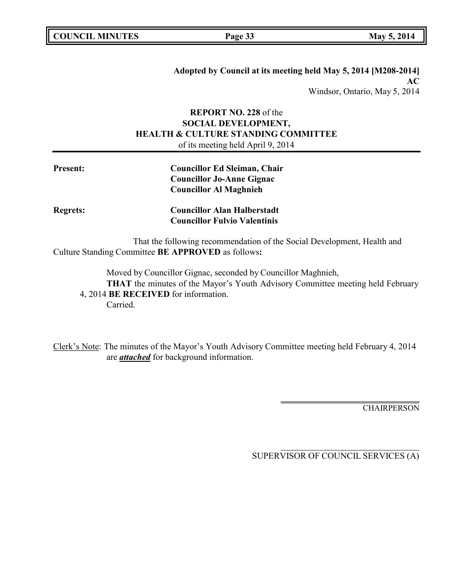**Adopted by Council at its meeting held May 5, 2014 [M208-2014] AC** Windsor, Ontario, May 5, 2014

# **REPORT NO. 228** of the **SOCIAL DEVELOPMENT, HEALTH & CULTURE STANDING COMMITTEE** of its meeting held April 9, 2014

| <b>Present:</b> | <b>Councillor Ed Sleiman, Chair</b>                                     |
|-----------------|-------------------------------------------------------------------------|
|                 | <b>Councillor Jo-Anne Gignac</b>                                        |
|                 | <b>Councillor Al Maghnieh</b>                                           |
| <b>Regrets:</b> | <b>Councillor Alan Halberstadt</b>                                      |
|                 | <b>Councillor Fulvio Valentinis</b>                                     |
|                 | That the following recommendation of the Social Development, Health and |

Culture Standing Committee **BE APPROVED** as follows**:**

Moved by Councillor Gignac, seconded by Councillor Maghnieh,

**THAT** the minutes of the Mayor's Youth Advisory Committee meeting held February 4, 2014 **BE RECEIVED** for information.

Carried.

Clerk's Note: The minutes of the Mayor's Youth Advisory Committee meeting held February 4, 2014 are *attached* for background information.

**CHAIRPERSON**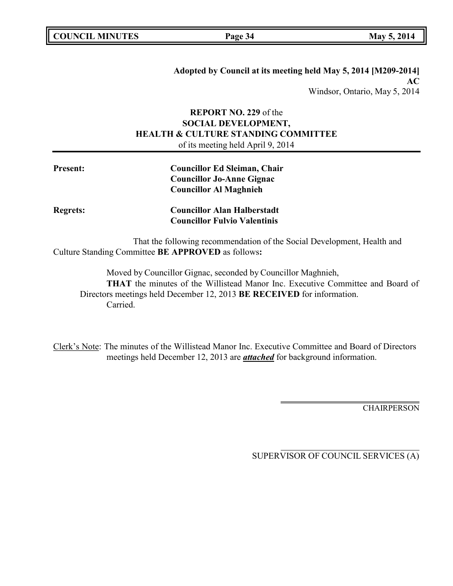**Adopted by Council at its meeting held May 5, 2014 [M209-2014] AC** Windsor, Ontario, May 5, 2014

# **REPORT NO. 229** of the **SOCIAL DEVELOPMENT, HEALTH & CULTURE STANDING COMMITTEE** of its meeting held April 9, 2014

| <b>Present:</b> | <b>Councillor Ed Sleiman, Chair</b>                                     |
|-----------------|-------------------------------------------------------------------------|
|                 | <b>Councillor Jo-Anne Gignac</b>                                        |
|                 | <b>Councillor Al Maghnieh</b>                                           |
| <b>Regrets:</b> | <b>Councillor Alan Halberstadt</b>                                      |
|                 | <b>Councillor Fulvio Valentinis</b>                                     |
|                 | That the following recommendation of the Social Development, Health and |

Culture Standing Committee **BE APPROVED** as follows**:**

Moved by Councillor Gignac, seconded by Councillor Maghnieh, **THAT** the minutes of the Willistead Manor Inc. Executive Committee and Board of Directors meetings held December 12, 2013 **BE RECEIVED** for information. Carried.

Clerk's Note: The minutes of the Willistead Manor Inc. Executive Committee and Board of Directors meetings held December 12, 2013 are *attached* for background information.

**CHAIRPERSON**